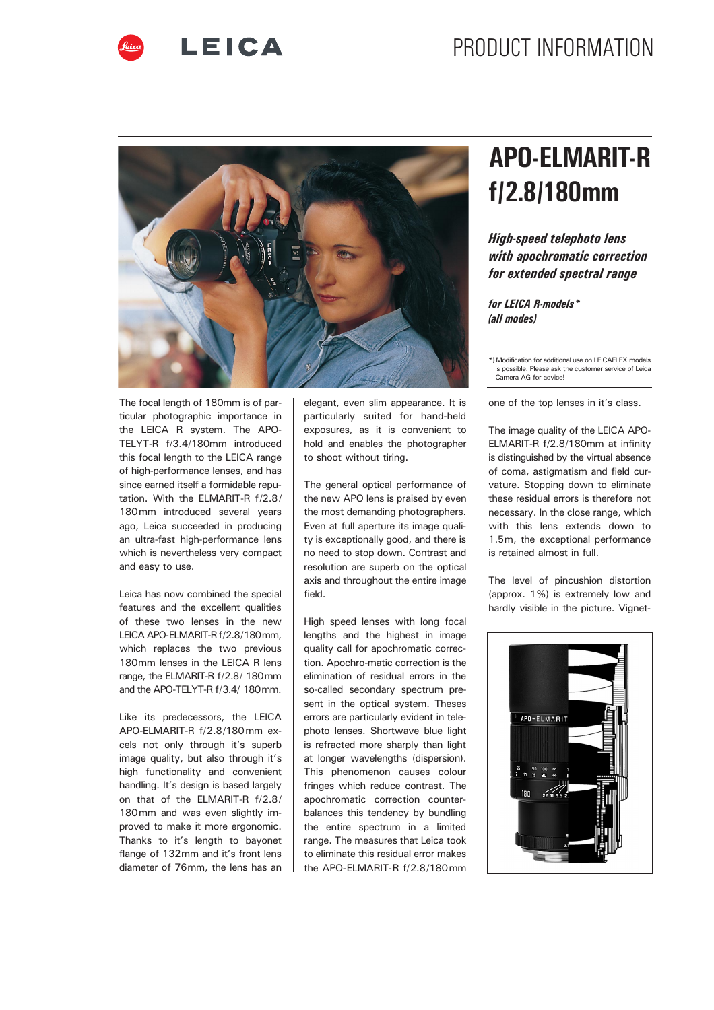



The focal length of 180mm is of particular photographic importance in the LEICA R system. The APO-TELYT-R f/3.4/180mm introduced this focal length to the LEICA range of high-performance lenses, and has since earned itself a formidable reputation. With the ELMARIT-R f/2.8/ 180mm introduced several years ago, Leica succeeded in producing an ultra-fast high-performance lens which is nevertheless very compact and easy to use.

Leica has now combined the special features and the excellent qualities of these two lenses in the new LEICA APO-ELMARIT-R f/2.8/180mm, which replaces the two previous 180mm lenses in the LEICA R lens range, the ELMARIT-R f/2.8/ 180mm and the APO-TELYT-R f/3.4/ 180mm.

Like its predecessors, the LEICA APO-ELMARIT-R f/2.8/180mm excels not only through it's superb image quality, but also through it's high functionality and convenient handling. It's design is based largely on that of the ELMARIT-R f/2.8/ 180mm and was even slightly improved to make it more ergonomic. Thanks to it's length to bayonet flange of 132mm and it's front lens diameter of 76mm, the lens has an

elegant, even slim appearance. It is particularly suited for hand-held exposures, as it is convenient to hold and enables the photographer to shoot without tiring.

The general optical performance of the new APO lens is praised by even the most demanding photographers. Even at full aperture its image quality is exceptionally good, and there is no need to stop down. Contrast and resolution are superb on the optical axis and throughout the entire image field.

High speed lenses with long focal lengths and the highest in image quality call for apochromatic correction. Apochro-matic correction is the elimination of residual errors in the so-called secondary spectrum present in the optical system. Theses errors are particularly evident in telephoto lenses. Shortwave blue light is refracted more sharply than light at longer wavelengths (dispersion). This phenomenon causes colour fringes which reduce contrast. The apochromatic correction counterbalances this tendency by bundling the entire spectrum in a limited range. The measures that Leica took to eliminate this residual error makes the APO-ELMARIT-R f/2.8/180mm

# APO-ELMARIT-R f/2.8/180mm

### High-speed telephoto lens with apochromatic correction for extended spectral range

#### for LEICA R-models\* (all modes)

\*)Modification for additional use on LEICAFLEX models is possible. Please ask the customer service of Leica possible risase ask<br>amera AG for advice!

one of the top lenses in it's class.

The image quality of the LEICA APO-ELMARIT-R f/2.8/180mm at infinity is distinguished by the virtual absence of coma, astigmatism and field curvature. Stopping down to eliminate these residual errors is therefore not necessary. In the close range, which with this lens extends down to 1.5m, the exceptional performance is retained almost in full.

The level of pincushion distortion (approx. 1%) is extremely low and hardly visible in the picture. Vignet-